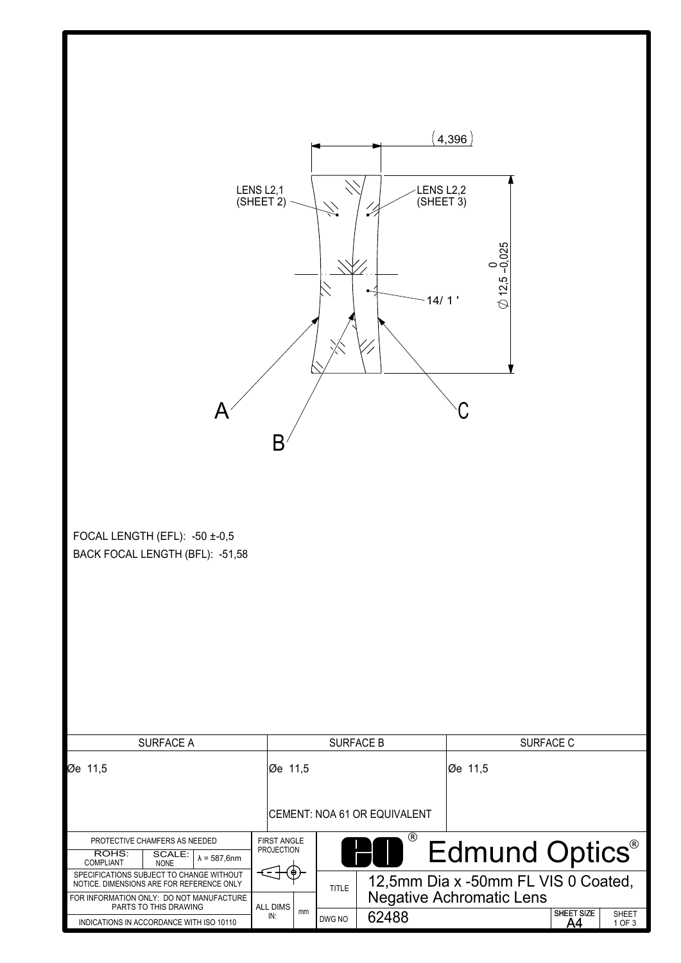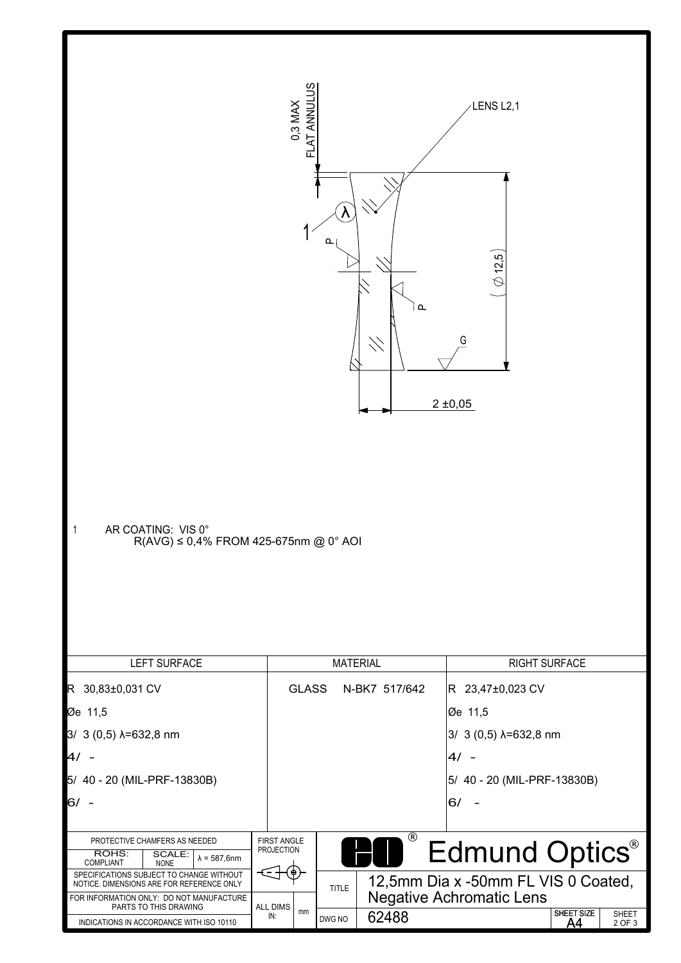| AR COATING: VIS 0°<br>- 1<br>$R(AVG) ≤ 0,4%$ FROM 425-675nm @ 0° AOI                                                                                                                                   | ANNULUS<br>0,3 MAX<br>ū                 | $\lambda$<br>൨         | $\Delta$<br>4          | LENS L2,1<br>12,5<br>G<br>2 ± 0,05                                                                  |                        |
|--------------------------------------------------------------------------------------------------------------------------------------------------------------------------------------------------------|-----------------------------------------|------------------------|------------------------|-----------------------------------------------------------------------------------------------------|------------------------|
| <b>LEFT SURFACE</b>                                                                                                                                                                                    |                                         | <b>MATERIAL</b>        |                        | <b>RIGHT SURFACE</b>                                                                                |                        |
| R 30,83±0,031 CV<br>Øe 11,5<br>3/ 3 (0,5) $\lambda$ =632,8 nm<br>4/<br>5/ 40 - 20 (MIL-PRF-13830B)<br>6/                                                                                               | <b>GLASS</b>                            |                        | N-BK7 517/642          | R 23,47±0,023 CV<br>Øe 11,5<br>3/ 3 (0,5) λ=632,8 nm<br>$4/ -$<br>5/ 40 - 20 (MIL-PRF-13830B)<br>6/ |                        |
| PROTECTIVE CHAMFERS AS NEEDED<br>ROHS:<br>SCALE:<br>$\lambda = 587,6$ nm<br><b>COMPLIANT</b><br><b>NONE</b>                                                                                            | <b>FIRST ANGLE</b><br><b>PROJECTION</b> |                        | $\overline{\circledR}$ | Edmund Optics®                                                                                      |                        |
| SPECIFICATIONS SUBJECT TO CHANGE WITHOUT<br>NOTICE. DIMENSIONS ARE FOR REFERENCE ONLY<br>FOR INFORMATION ONLY: DO NOT MANUFACTURE<br>PARTS TO THIS DRAWING<br>INDICATIONS IN ACCORDANCE WITH ISO 10110 | ALL DIMS<br>mm<br>IN:                   | <b>TITLE</b><br>DWG NO | 62488                  | 12,5mm Dia x -50mm FL VIS 0 Coated,<br><b>Negative Achromatic Lens</b><br>SHEET SIZE<br><u>A4</u>   | <b>SHEET</b><br>2 OF 3 |